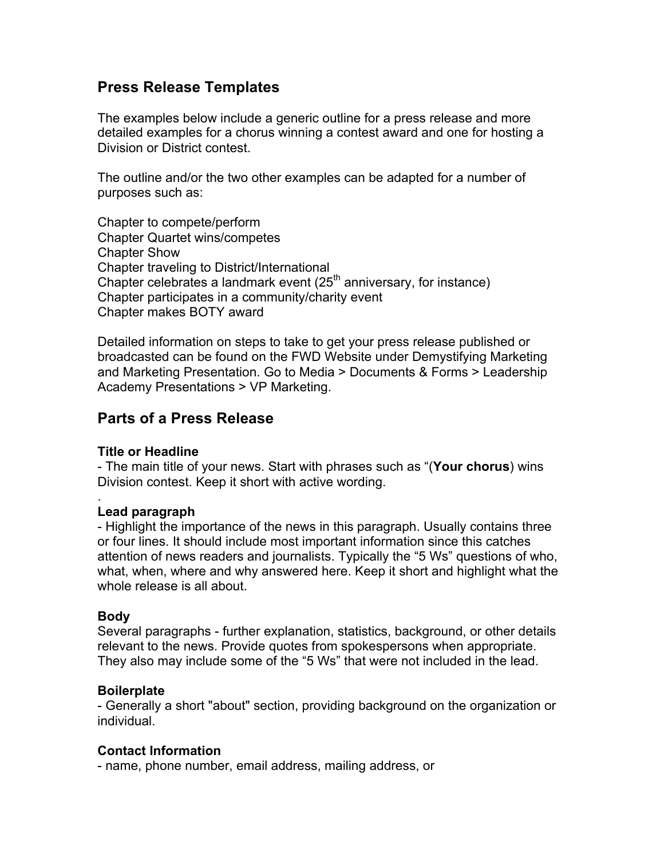# **Press Release Templates**

The examples below include a generic outline for a press release and more detailed examples for a chorus winning a contest award and one for hosting a Division or District contest.

The outline and/or the two other examples can be adapted for a number of purposes such as:

Chapter to compete/perform Chapter Quartet wins/competes Chapter Show Chapter traveling to District/International Chapter celebrates a landmark event  $(25<sup>th</sup>$  anniversary, for instance) Chapter participates in a community/charity event Chapter makes BOTY award

Detailed information on steps to take to get your press release published or broadcasted can be found on the FWD Website under Demystifying Marketing and Marketing Presentation. Go to Media > Documents & Forms > Leadership Academy Presentations > VP Marketing.

## **Parts of a Press Release**

## **Title or Headline**

- The main title of your news. Start with phrases such as "(**Your chorus**) wins Division contest. Keep it short with active wording.

## **Lead paragraph**

- Highlight the importance of the news in this paragraph. Usually contains three or four lines. It should include most important information since this catches attention of news readers and journalists. Typically the "5 Ws" questions of who, what, when, where and why answered here. Keep it short and highlight what the whole release is all about.

#### **Body**

.

Several paragraphs - further explanation, statistics, background, or other details relevant to the news. Provide quotes from spokespersons when appropriate. They also may include some of the "5 Ws" that were not included in the lead.

## **Boilerplate**

- Generally a short "about" section, providing background on the organization or individual.

#### **Contact Information**

- name, phone number, email address, mailing address, or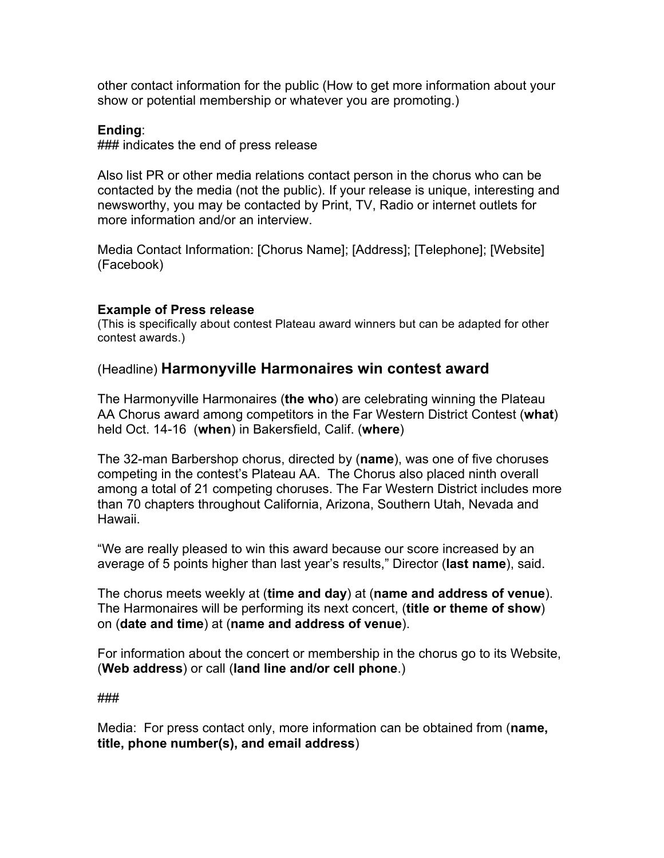other contact information for the public (How to get more information about your show or potential membership or whatever you are promoting.)

## **Ending**:

### indicates the end of press release

Also list PR or other media relations contact person in the chorus who can be contacted by the media (not the public). If your release is unique, interesting and newsworthy, you may be contacted by Print, TV, Radio or internet outlets for more information and/or an interview.

Media Contact Information: [Chorus Name]; [Address]; [Telephone]; [Website] (Facebook)

#### **Example of Press release**

(This is specifically about contest Plateau award winners but can be adapted for other contest awards.)

## (Headline) **Harmonyville Harmonaires win contest award**

The Harmonyville Harmonaires (**the who**) are celebrating winning the Plateau AA Chorus award among competitors in the Far Western District Contest (**what**) held Oct. 14-16 (**when**) in Bakersfield, Calif. (**where**)

The 32-man Barbershop chorus, directed by (**name**), was one of five choruses competing in the contest's Plateau AA. The Chorus also placed ninth overall among a total of 21 competing choruses. The Far Western District includes more than 70 chapters throughout California, Arizona, Southern Utah, Nevada and Hawaii.

"We are really pleased to win this award because our score increased by an average of 5 points higher than last year's results," Director (**last name**), said.

The chorus meets weekly at (**time and day**) at (**name and address of venue**). The Harmonaires will be performing its next concert, (**title or theme of show**) on (**date and time**) at (**name and address of venue**).

For information about the concert or membership in the chorus go to its Website, (**Web address**) or call (**land line and/or cell phone**.)

###

Media: For press contact only, more information can be obtained from (**name, title, phone number(s), and email address**)